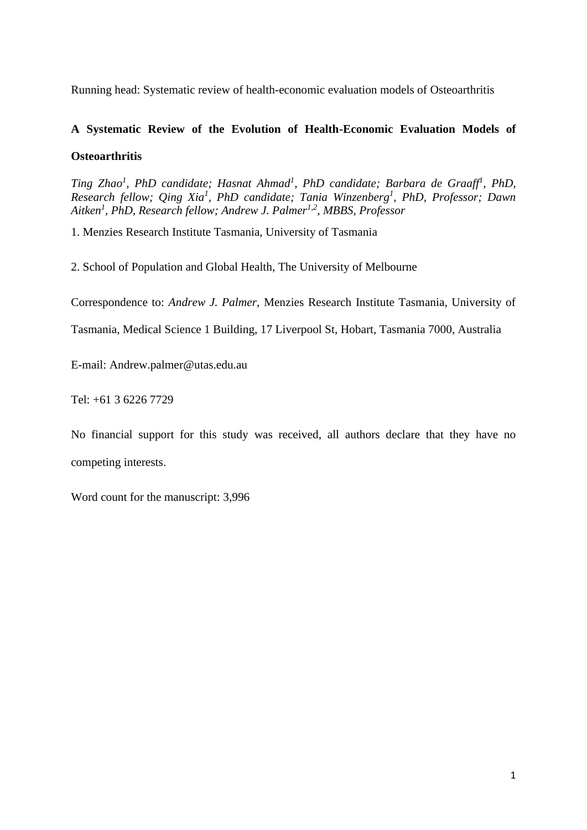Running head: Systematic review of health-economic evaluation models of Osteoarthritis

# **A Systematic Review of the Evolution of Health-Economic Evaluation Models of**

# **Osteoarthritis**

*Ting Zhao<sup>1</sup> , PhD candidate; Hasnat Ahmad<sup>1</sup> , PhD candidate; Barbara de Graaff<sup>1</sup> , PhD, Research fellow; Qing Xia<sup>1</sup> , PhD candidate; Tania Winzenberg<sup>1</sup> , PhD, Professor; Dawn Aitken<sup>1</sup> , PhD, Research fellow; Andrew J. Palmer1,2, MBBS, Professor*

1. Menzies Research Institute Tasmania, University of Tasmania

2. School of Population and Global Health, The University of Melbourne

Correspondence to: *Andrew J. Palmer*, Menzies Research Institute Tasmania, University of

Tasmania, Medical Science 1 Building, 17 Liverpool St, Hobart, Tasmania 7000, Australia

E-mail: Andrew.palmer@utas.edu.au

Tel: +61 3 6226 7729

No financial support for this study was received, all authors declare that they have no competing interests.

Word count for the manuscript: 3,996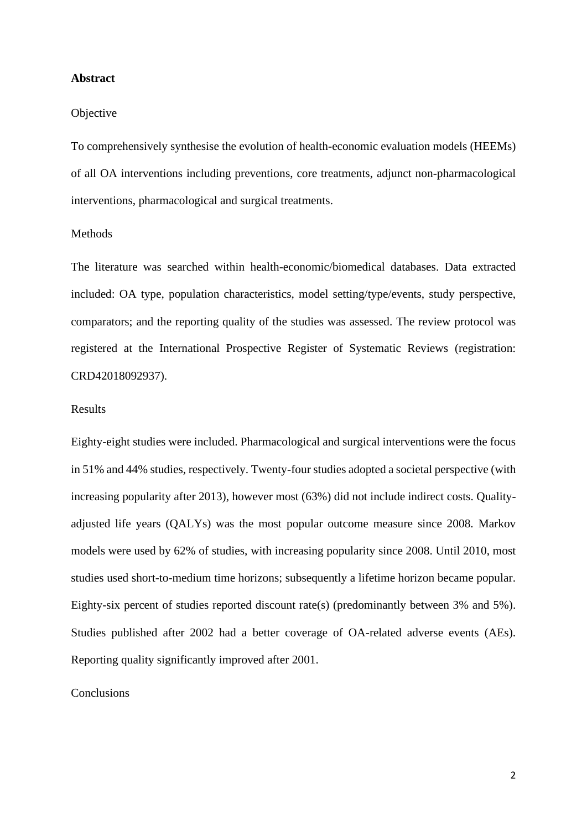#### **Abstract**

#### **Objective**

To comprehensively synthesise the evolution of health-economic evaluation models (HEEMs) of all OA interventions including preventions, core treatments, adjunct non-pharmacological interventions, pharmacological and surgical treatments.

#### Methods

The literature was searched within health-economic/biomedical databases. Data extracted included: OA type, population characteristics, model setting/type/events, study perspective, comparators; and the reporting quality of the studies was assessed. The review protocol was registered at the International Prospective Register of Systematic Reviews (registration: CRD42018092937).

#### Results

Eighty-eight studies were included. Pharmacological and surgical interventions were the focus in 51% and 44% studies, respectively. Twenty-four studies adopted a societal perspective (with increasing popularity after 2013), however most (63%) did not include indirect costs. Qualityadjusted life years (QALYs) was the most popular outcome measure since 2008. Markov models were used by 62% of studies, with increasing popularity since 2008. Until 2010, most studies used short-to-medium time horizons; subsequently a lifetime horizon became popular. Eighty-six percent of studies reported discount rate(s) (predominantly between 3% and 5%). Studies published after 2002 had a better coverage of OA-related adverse events (AEs). Reporting quality significantly improved after 2001.

## Conclusions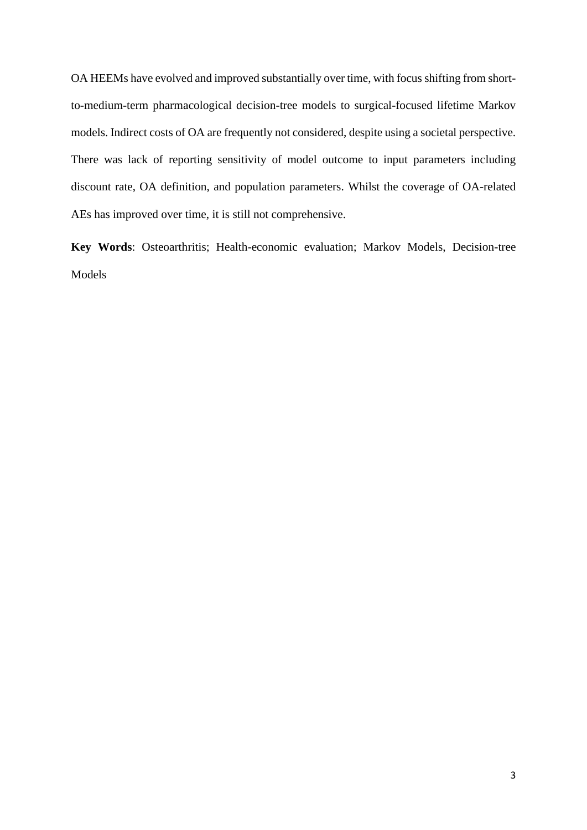OA HEEMs have evolved and improved substantially over time, with focus shifting from shortto-medium-term pharmacological decision-tree models to surgical-focused lifetime Markov models. Indirect costs of OA are frequently not considered, despite using a societal perspective. There was lack of reporting sensitivity of model outcome to input parameters including discount rate, OA definition, and population parameters. Whilst the coverage of OA-related AEs has improved over time, it is still not comprehensive.

**Key Words**: Osteoarthritis; Health-economic evaluation; Markov Models, Decision-tree Models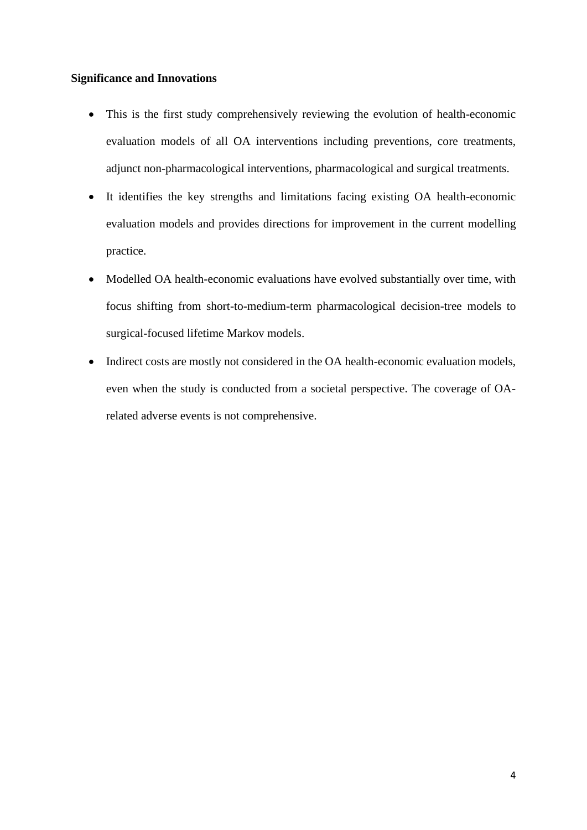# **Significance and Innovations**

- This is the first study comprehensively reviewing the evolution of health-economic evaluation models of all OA interventions including preventions, core treatments, adjunct non-pharmacological interventions, pharmacological and surgical treatments.
- It identifies the key strengths and limitations facing existing OA health-economic evaluation models and provides directions for improvement in the current modelling practice.
- Modelled OA health-economic evaluations have evolved substantially over time, with focus shifting from short-to-medium-term pharmacological decision-tree models to surgical-focused lifetime Markov models.
- Indirect costs are mostly not considered in the OA health-economic evaluation models, even when the study is conducted from a societal perspective. The coverage of OArelated adverse events is not comprehensive.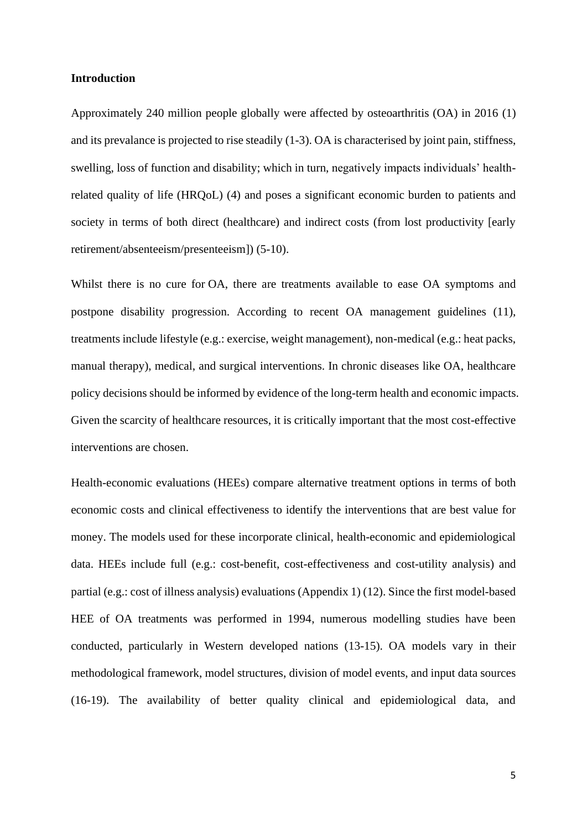#### **Introduction**

Approximately 240 million people globally were affected by osteoarthritis (OA) in 2016 (1) and its prevalance is projected to rise steadily (1-3). OA is characterised by joint pain, stiffness, swelling, loss of function and disability; which in turn, negatively impacts individuals' healthrelated quality of life (HRQoL) (4) and poses a significant economic burden to patients and society in terms of both direct (healthcare) and indirect costs (from lost productivity [early retirement/absenteeism/presenteeism]) (5-10).

Whilst there is no cure for OA, there are treatments available to ease OA symptoms and postpone disability progression. According to recent OA management guidelines (11), treatments include lifestyle (e.g.: exercise, weight management), non-medical (e.g.: heat packs, manual therapy), medical, and surgical interventions. In chronic diseases like OA, healthcare policy decisions should be informed by evidence of the long-term health and economic impacts. Given the scarcity of healthcare resources, it is critically important that the most cost-effective interventions are chosen.

Health-economic evaluations (HEEs) compare alternative treatment options in terms of both economic costs and clinical effectiveness to identify the interventions that are best value for money. The models used for these incorporate clinical, health-economic and epidemiological data. HEEs include full (e.g.: cost-benefit, cost-effectiveness and cost-utility analysis) and partial (e.g.: cost of illness analysis) evaluations (Appendix 1) (12). Since the first model-based HEE of OA treatments was performed in 1994, numerous modelling studies have been conducted, particularly in Western developed nations (13-15). OA models vary in their methodological framework, model structures, division of model events, and input data sources (16-19). The availability of better quality clinical and epidemiological data, and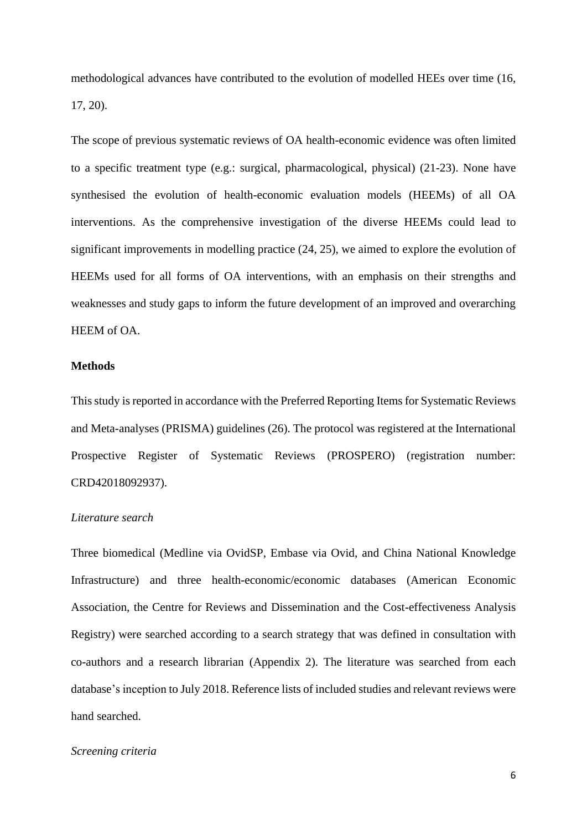methodological advances have contributed to the evolution of modelled HEEs over time (16, 17, 20).

The scope of previous systematic reviews of OA health-economic evidence was often limited to a specific treatment type (e.g.: surgical, pharmacological, physical) (21-23). None have synthesised the evolution of health-economic evaluation models (HEEMs) of all OA interventions. As the comprehensive investigation of the diverse HEEMs could lead to significant improvements in modelling practice (24, 25), we aimed to explore the evolution of HEEMs used for all forms of OA interventions, with an emphasis on their strengths and weaknesses and study gaps to inform the future development of an improved and overarching HEEM of OA.

#### **Methods**

Thisstudy is reported in accordance with the Preferred Reporting Items for Systematic Reviews and Meta-analyses (PRISMA) guidelines (26). The protocol was registered at the International Prospective Register of Systematic Reviews (PROSPERO) (registration number: CRD42018092937).

# *Literature search*

Three biomedical (Medline via OvidSP, Embase via Ovid, and China National Knowledge Infrastructure) and three health-economic/economic databases (American Economic Association, the Centre for Reviews and Dissemination and the Cost-effectiveness Analysis Registry) were searched according to a search strategy that was defined in consultation with co-authors and a research librarian (Appendix 2). The literature was searched from each database's inception to July 2018. Reference lists of included studies and relevant reviews were hand searched.

#### *Screening criteria*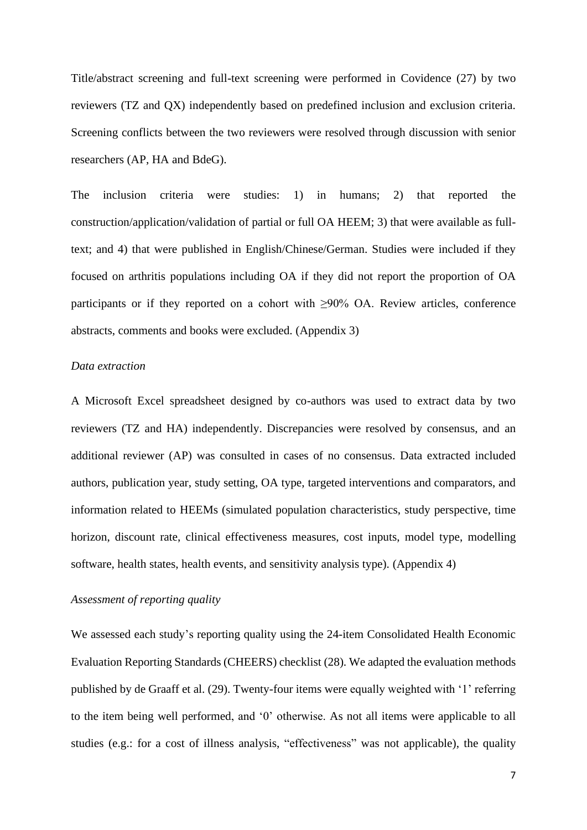Title/abstract screening and full-text screening were performed in Covidence (27) by two reviewers (TZ and QX) independently based on predefined inclusion and exclusion criteria. Screening conflicts between the two reviewers were resolved through discussion with senior researchers (AP, HA and BdeG).

The inclusion criteria were studies: 1) in humans; 2) that reported the construction/application/validation of partial or full OA HEEM; 3) that were available as fulltext; and 4) that were published in English/Chinese/German. Studies were included if they focused on arthritis populations including OA if they did not report the proportion of OA participants or if they reported on a cohort with  $\geq 90\%$  OA. Review articles, conference abstracts, comments and books were excluded. (Appendix 3)

#### *Data extraction*

A Microsoft Excel spreadsheet designed by co-authors was used to extract data by two reviewers (TZ and HA) independently. Discrepancies were resolved by consensus, and an additional reviewer (AP) was consulted in cases of no consensus. Data extracted included authors, publication year, study setting, OA type, targeted interventions and comparators, and information related to HEEMs (simulated population characteristics, study perspective, time horizon, discount rate, clinical effectiveness measures, cost inputs, model type, modelling software, health states, health events, and sensitivity analysis type). (Appendix 4)

# *Assessment of reporting quality*

We assessed each study's reporting quality using the 24-item Consolidated Health Economic Evaluation Reporting Standards (CHEERS) checklist (28). We adapted the evaluation methods published by de Graaff et al. (29). Twenty-four items were equally weighted with '1' referring to the item being well performed, and '0' otherwise. As not all items were applicable to all studies (e.g.: for a cost of illness analysis, "effectiveness" was not applicable), the quality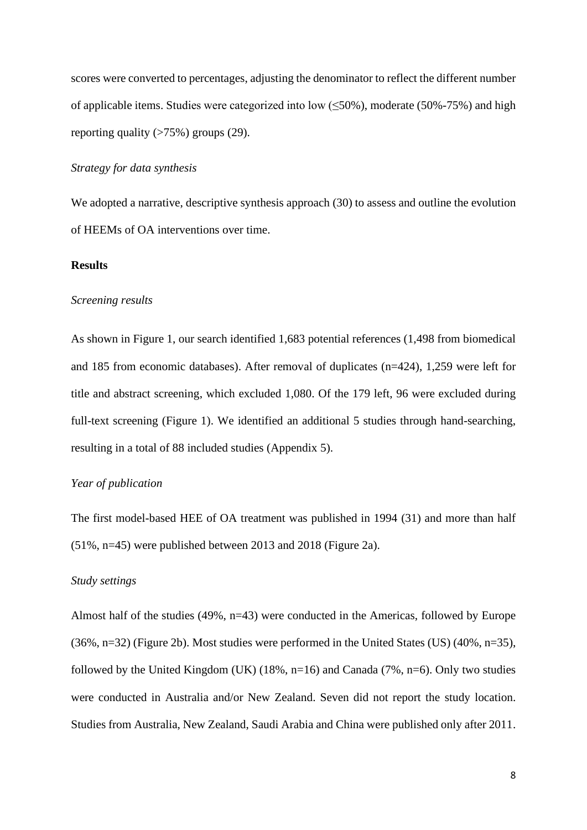scores were converted to percentages, adjusting the denominator to reflect the different number of applicable items. Studies were categorized into low  $(\leq 50\%)$ , moderate (50%-75%) and high reporting quality  $($ >75%) groups  $(29)$ .

# *Strategy for data synthesis*

We adopted a narrative, descriptive synthesis approach (30) to assess and outline the evolution of HEEMs of OA interventions over time.

#### **Results**

#### *Screening results*

As shown in Figure 1, our search identified 1,683 potential references (1,498 from biomedical and 185 from economic databases). After removal of duplicates (n=424), 1,259 were left for title and abstract screening, which excluded 1,080. Of the 179 left, 96 were excluded during full-text screening (Figure 1). We identified an additional 5 studies through hand-searching, resulting in a total of 88 included studies (Appendix 5).

# *Year of publication*

The first model-based HEE of OA treatment was published in 1994 (31) and more than half (51%, n=45) were published between 2013 and 2018 (Figure 2a).

#### *Study settings*

Almost half of the studies (49%, n=43) were conducted in the Americas, followed by Europe (36%, n=32) (Figure 2b). Most studies were performed in the United States (US) (40%, n=35), followed by the United Kingdom (UK) (18%,  $n=16$ ) and Canada (7%,  $n=6$ ). Only two studies were conducted in Australia and/or New Zealand. Seven did not report the study location. Studies from Australia, New Zealand, Saudi Arabia and China were published only after 2011.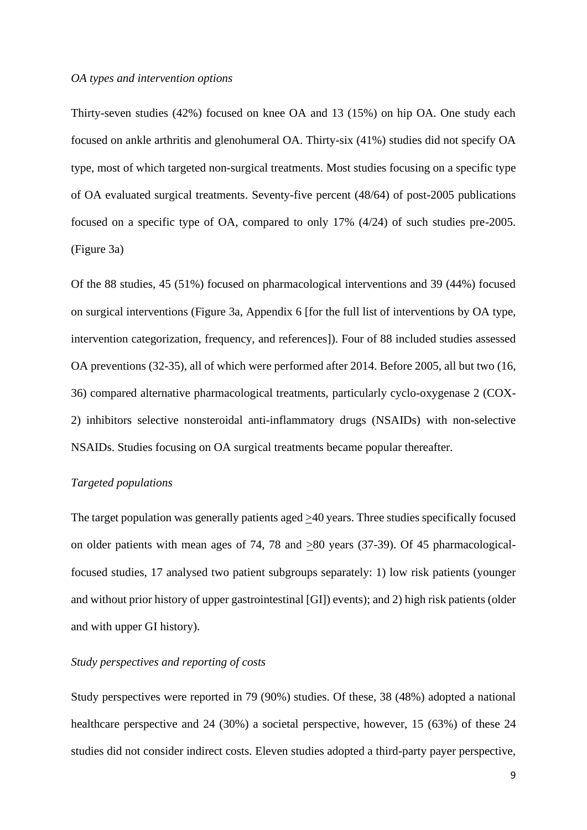#### *OA types and intervention options*

Thirty-seven studies (42%) focused on knee OA and 13 (15%) on hip OA. One study each focused on ankle arthritis and glenohumeral OA. Thirty-six (41%) studies did not specify OA type, most of which targeted non-surgical treatments. Most studies focusing on a specific type of OA evaluated surgical treatments. Seventy-five percent (48/64) of post-2005 publications focused on a specific type of OA, compared to only 17% (4/24) of such studies pre-2005. (Figure 3a)

Of the 88 studies, 45 (51%) focused on pharmacological interventions and 39 (44%) focused on surgical interventions (Figure 3a, Appendix 6 [for the full list of interventions by OA type, intervention categorization, frequency, and references]). Four of 88 included studies assessed OA preventions (32-35), all of which were performed after 2014. Before 2005, all but two (16, 36) compared alternative pharmacological treatments, particularly cyclo-oxygenase 2 (COX-2) inhibitors selective nonsteroidal anti-inflammatory drugs (NSAIDs) with non-selective NSAIDs. Studies focusing on OA surgical treatments became popular thereafter.

# *Targeted populations*

The target population was generally patients aged >40 years. Three studies specifically focused on older patients with mean ages of 74, 78 and >80 years (37-39). Of 45 pharmacologicalfocused studies, 17 analysed two patient subgroups separately: 1) low risk patients (younger and without prior history of upper gastrointestinal [GI]) events); and 2) high risk patients (older and with upper GI history).

### *Study perspectives and reporting of costs*

Study perspectives were reported in 79 (90%) studies. Of these, 38 (48%) adopted a national healthcare perspective and 24 (30%) a societal perspective, however, 15 (63%) of these 24 studies did not consider indirect costs. Eleven studies adopted a third-party payer perspective,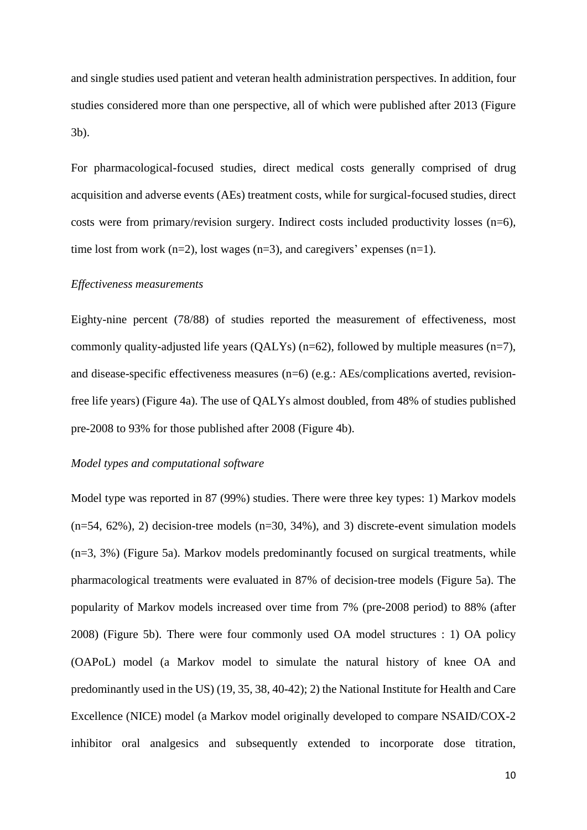and single studies used patient and veteran health administration perspectives. In addition, four studies considered more than one perspective, all of which were published after 2013 (Figure 3b).

For pharmacological-focused studies, direct medical costs generally comprised of drug acquisition and adverse events (AEs) treatment costs, while for surgical-focused studies, direct costs were from primary/revision surgery. Indirect costs included productivity losses (n=6), time lost from work  $(n=2)$ , lost wages  $(n=3)$ , and caregivers' expenses  $(n=1)$ .

#### *Effectiveness measurements*

Eighty-nine percent (78/88) of studies reported the measurement of effectiveness, most commonly quality-adjusted life years (QALYs) ( $n=62$ ), followed by multiple measures ( $n=7$ ), and disease-specific effectiveness measures (n=6) (e.g.: AEs/complications averted, revisionfree life years) (Figure 4a). The use of QALYs almost doubled, from 48% of studies published pre-2008 to 93% for those published after 2008 (Figure 4b).

#### *Model types and computational software*

Model type was reported in 87 (99%) studies. There were three key types: 1) Markov models  $(n=54, 62\%)$ , 2) decision-tree models  $(n=30, 34\%)$ , and 3) discrete-event simulation models (n=3, 3%) (Figure 5a). Markov models predominantly focused on surgical treatments, while pharmacological treatments were evaluated in 87% of decision-tree models (Figure 5a). The popularity of Markov models increased over time from 7% (pre-2008 period) to 88% (after 2008) (Figure 5b). There were four commonly used OA model structures : 1) OA policy (OAPoL) model (a Markov model to simulate the natural history of knee OA and predominantly used in the US) (19, 35, 38, 40-42); 2) the National Institute for Health and Care Excellence (NICE) model (a Markov model originally developed to compare NSAID/COX-2 inhibitor oral analgesics and subsequently extended to incorporate dose titration,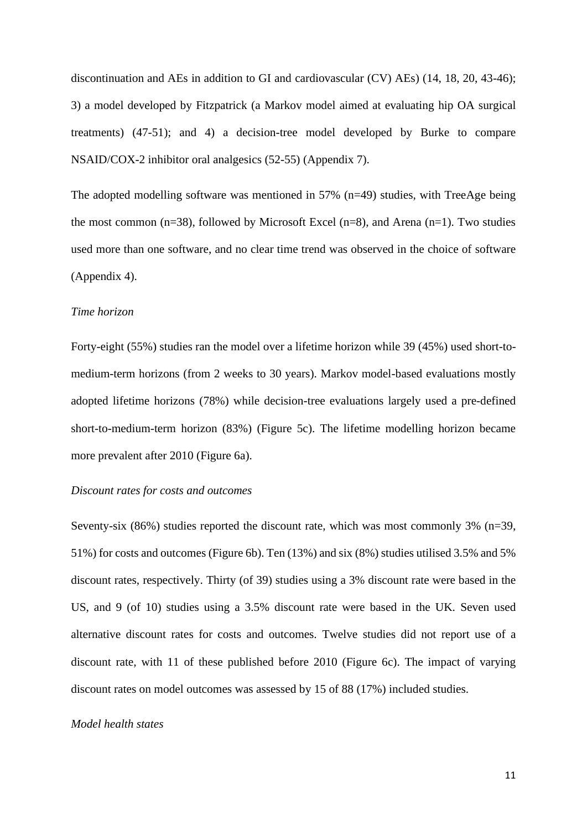discontinuation and AEs in addition to GI and cardiovascular (CV) AEs) (14, 18, 20, 43-46); 3) a model developed by Fitzpatrick (a Markov model aimed at evaluating hip OA surgical treatments) (47-51); and 4) a decision-tree model developed by Burke to compare NSAID/COX-2 inhibitor oral analgesics (52-55) (Appendix 7).

The adopted modelling software was mentioned in 57% (n=49) studies, with TreeAge being the most common (n=38), followed by Microsoft Excel (n=8), and Arena (n=1). Two studies used more than one software, and no clear time trend was observed in the choice of software (Appendix 4).

### *Time horizon*

Forty-eight (55%) studies ran the model over a lifetime horizon while 39 (45%) used short-tomedium-term horizons (from 2 weeks to 30 years). Markov model-based evaluations mostly adopted lifetime horizons (78%) while decision-tree evaluations largely used a pre-defined short-to-medium-term horizon (83%) (Figure 5c). The lifetime modelling horizon became more prevalent after 2010 (Figure 6a).

#### *Discount rates for costs and outcomes*

Seventy-six (86%) studies reported the discount rate, which was most commonly 3% (n=39, 51%) for costs and outcomes (Figure 6b). Ten (13%) and six (8%) studies utilised 3.5% and 5% discount rates, respectively. Thirty (of 39) studies using a 3% discount rate were based in the US, and 9 (of 10) studies using a 3.5% discount rate were based in the UK. Seven used alternative discount rates for costs and outcomes. Twelve studies did not report use of a discount rate, with 11 of these published before 2010 (Figure 6c). The impact of varying discount rates on model outcomes was assessed by 15 of 88 (17%) included studies.

#### *Model health states*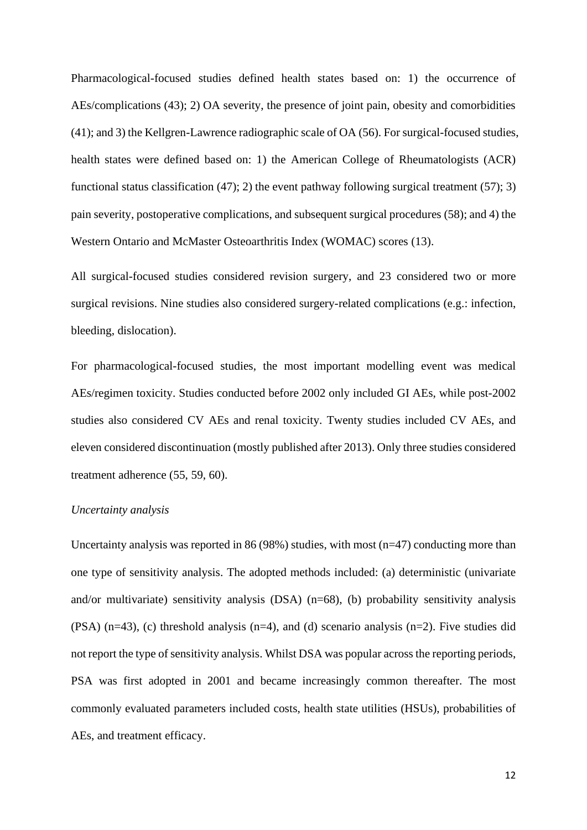Pharmacological-focused studies defined health states based on: 1) the occurrence of AEs/complications (43); 2) OA severity, the presence of joint pain, obesity and comorbidities (41); and 3) the Kellgren-Lawrence radiographic scale of OA (56). For surgical-focused studies, health states were defined based on: 1) the American College of Rheumatologists (ACR) functional status classification (47); 2) the event pathway following surgical treatment (57); 3) pain severity, postoperative complications, and subsequent surgical procedures (58); and 4) the Western Ontario and McMaster Osteoarthritis Index (WOMAC) scores (13).

All surgical-focused studies considered revision surgery, and 23 considered two or more surgical revisions. Nine studies also considered surgery-related complications (e.g.: infection, bleeding, dislocation).

For pharmacological-focused studies, the most important modelling event was medical AEs/regimen toxicity. Studies conducted before 2002 only included GI AEs, while post-2002 studies also considered CV AEs and renal toxicity. Twenty studies included CV AEs, and eleven considered discontinuation (mostly published after 2013). Only three studies considered treatment adherence (55, 59, 60).

#### *Uncertainty analysis*

Uncertainty analysis was reported in 86 (98%) studies, with most  $(n=47)$  conducting more than one type of sensitivity analysis. The adopted methods included: (a) deterministic (univariate and/or multivariate) sensitivity analysis (DSA) (n=68), (b) probability sensitivity analysis (PSA) (n=43), (c) threshold analysis (n=4), and (d) scenario analysis (n=2). Five studies did not report the type of sensitivity analysis. Whilst DSA was popular across the reporting periods, PSA was first adopted in 2001 and became increasingly common thereafter. The most commonly evaluated parameters included costs, health state utilities (HSUs), probabilities of AEs, and treatment efficacy.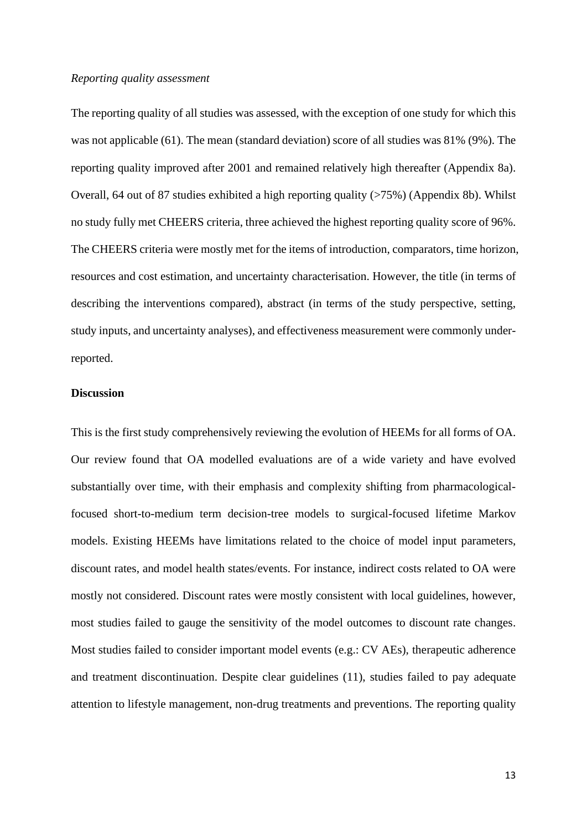#### *Reporting quality assessment*

The reporting quality of all studies was assessed, with the exception of one study for which this was not applicable (61). The mean (standard deviation) score of all studies was 81% (9%). The reporting quality improved after 2001 and remained relatively high thereafter (Appendix 8a). Overall, 64 out of 87 studies exhibited a high reporting quality (>75%) (Appendix 8b). Whilst no study fully met CHEERS criteria, three achieved the highest reporting quality score of 96%. The CHEERS criteria were mostly met for the items of introduction, comparators, time horizon, resources and cost estimation, and uncertainty characterisation. However, the title (in terms of describing the interventions compared), abstract (in terms of the study perspective, setting, study inputs, and uncertainty analyses), and effectiveness measurement were commonly underreported.

#### **Discussion**

This is the first study comprehensively reviewing the evolution of HEEMs for all forms of OA. Our review found that OA modelled evaluations are of a wide variety and have evolved substantially over time, with their emphasis and complexity shifting from pharmacologicalfocused short-to-medium term decision-tree models to surgical-focused lifetime Markov models. Existing HEEMs have limitations related to the choice of model input parameters, discount rates, and model health states/events. For instance, indirect costs related to OA were mostly not considered. Discount rates were mostly consistent with local guidelines, however, most studies failed to gauge the sensitivity of the model outcomes to discount rate changes. Most studies failed to consider important model events (e.g.: CV AEs), therapeutic adherence and treatment discontinuation. Despite clear guidelines (11), studies failed to pay adequate attention to lifestyle management, non-drug treatments and preventions. The reporting quality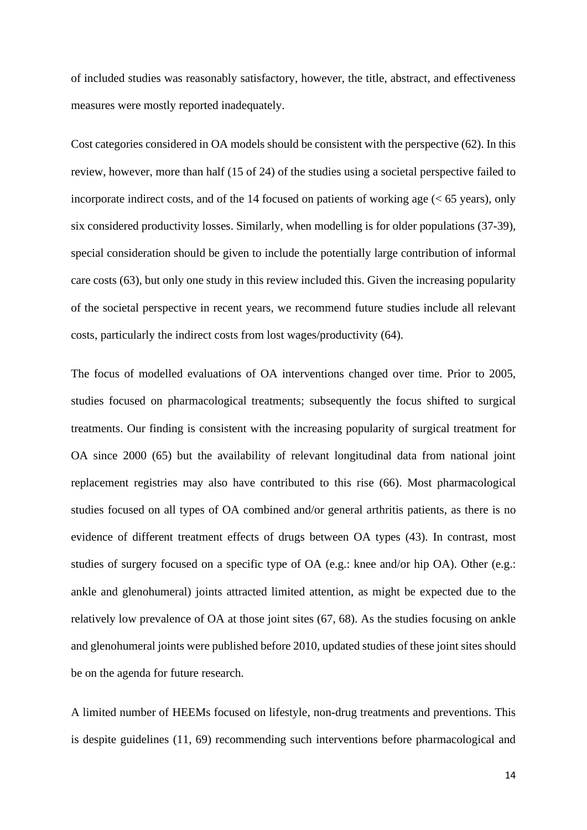of included studies was reasonably satisfactory, however, the title, abstract, and effectiveness measures were mostly reported inadequately.

Cost categories considered in OA models should be consistent with the perspective (62). In this review, however, more than half (15 of 24) of the studies using a societal perspective failed to incorporate indirect costs, and of the 14 focused on patients of working age  $(< 65$  years), only six considered productivity losses. Similarly, when modelling is for older populations (37-39), special consideration should be given to include the potentially large contribution of informal care costs (63), but only one study in this review included this. Given the increasing popularity of the societal perspective in recent years, we recommend future studies include all relevant costs, particularly the indirect costs from lost wages/productivity (64).

The focus of modelled evaluations of OA interventions changed over time. Prior to 2005, studies focused on pharmacological treatments; subsequently the focus shifted to surgical treatments. Our finding is consistent with the increasing popularity of surgical treatment for OA since 2000 (65) but the availability of relevant longitudinal data from national joint replacement registries may also have contributed to this rise (66). Most pharmacological studies focused on all types of OA combined and/or general arthritis patients, as there is no evidence of different treatment effects of drugs between OA types (43). In contrast, most studies of surgery focused on a specific type of OA (e.g.: knee and/or hip OA). Other (e.g.: ankle and glenohumeral) joints attracted limited attention, as might be expected due to the relatively low prevalence of OA at those joint sites (67, 68). As the studies focusing on ankle and glenohumeral joints were published before 2010, updated studies of these joint sites should be on the agenda for future research.

A limited number of HEEMs focused on lifestyle, non-drug treatments and preventions. This is despite guidelines (11, 69) recommending such interventions before pharmacological and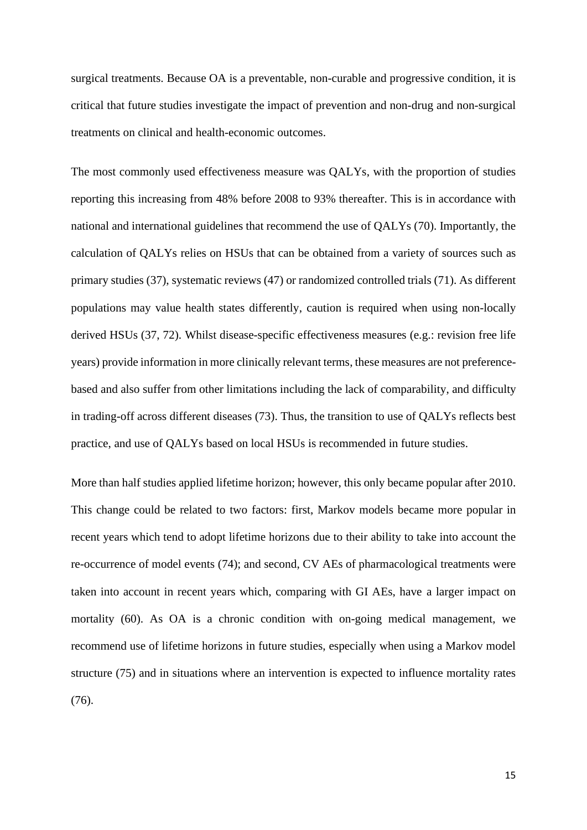surgical treatments. Because OA is a preventable, non-curable and progressive condition, it is critical that future studies investigate the impact of prevention and non-drug and non-surgical treatments on clinical and health-economic outcomes.

The most commonly used effectiveness measure was QALYs, with the proportion of studies reporting this increasing from 48% before 2008 to 93% thereafter. This is in accordance with national and international guidelines that recommend the use of QALYs (70). Importantly, the calculation of QALYs relies on HSUs that can be obtained from a variety of sources such as primary studies (37), systematic reviews (47) or randomized controlled trials (71). As different populations may value health states differently, caution is required when using non-locally derived HSUs (37, 72). Whilst disease-specific effectiveness measures (e.g.: revision free life years) provide information in more clinically relevant terms, these measures are not preferencebased and also suffer from other limitations including the lack of comparability, and difficulty in trading-off across different diseases (73). Thus, the transition to use of QALYs reflects best practice, and use of QALYs based on local HSUs is recommended in future studies.

More than half studies applied lifetime horizon; however, this only became popular after 2010. This change could be related to two factors: first, Markov models became more popular in recent years which tend to adopt lifetime horizons due to their ability to take into account the re-occurrence of model events (74); and second, CV AEs of pharmacological treatments were taken into account in recent years which, comparing with GI AEs, have a larger impact on mortality (60). As OA is a chronic condition with on-going medical management, we recommend use of lifetime horizons in future studies, especially when using a Markov model structure (75) and in situations where an intervention is expected to influence mortality rates (76).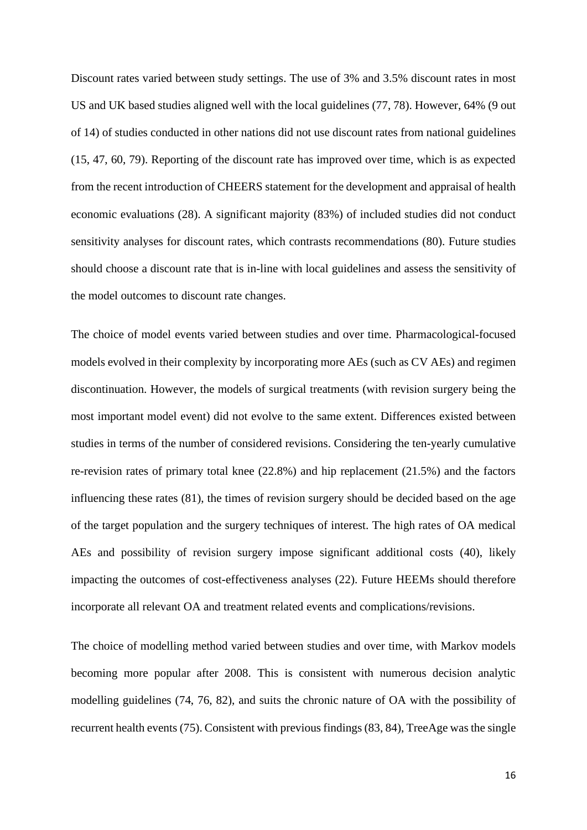Discount rates varied between study settings. The use of 3% and 3.5% discount rates in most US and UK based studies aligned well with the local guidelines (77, 78). However, 64% (9 out of 14) of studies conducted in other nations did not use discount rates from national guidelines (15, 47, 60, 79). Reporting of the discount rate has improved over time, which is as expected from the recent introduction of CHEERS statement for the development and appraisal of health economic evaluations (28). A significant majority (83%) of included studies did not conduct sensitivity analyses for discount rates, which contrasts recommendations (80). Future studies should choose a discount rate that is in-line with local guidelines and assess the sensitivity of the model outcomes to discount rate changes.

The choice of model events varied between studies and over time. Pharmacological-focused models evolved in their complexity by incorporating more AEs (such as CV AEs) and regimen discontinuation. However, the models of surgical treatments (with revision surgery being the most important model event) did not evolve to the same extent. Differences existed between studies in terms of the number of considered revisions. Considering the ten-yearly cumulative re-revision rates of primary total knee (22.8%) and hip replacement (21.5%) and the factors influencing these rates (81), the times of revision surgery should be decided based on the age of the target population and the surgery techniques of interest. The high rates of OA medical AEs and possibility of revision surgery impose significant additional costs (40), likely impacting the outcomes of cost-effectiveness analyses (22). Future HEEMs should therefore incorporate all relevant OA and treatment related events and complications/revisions.

The choice of modelling method varied between studies and over time, with Markov models becoming more popular after 2008. This is consistent with numerous decision analytic modelling guidelines (74, 76, 82), and suits the chronic nature of OA with the possibility of recurrent health events (75). Consistent with previous findings(83, 84), TreeAge was the single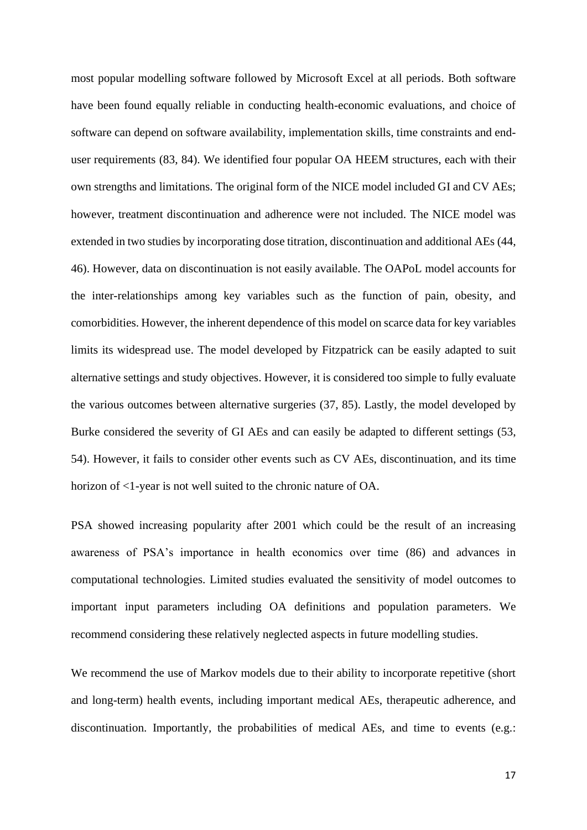most popular modelling software followed by Microsoft Excel at all periods. Both software have been found equally reliable in conducting health-economic evaluations, and choice of software can depend on software availability, implementation skills, time constraints and enduser requirements (83, 84). We identified four popular OA HEEM structures, each with their own strengths and limitations. The original form of the NICE model included GI and CV AEs; however, treatment discontinuation and adherence were not included. The NICE model was extended in two studies by incorporating dose titration, discontinuation and additional AEs (44, 46). However, data on discontinuation is not easily available. The OAPoL model accounts for the inter-relationships among key variables such as the function of pain, obesity, and comorbidities. However, the inherent dependence of this model on scarce data for key variables limits its widespread use. The model developed by Fitzpatrick can be easily adapted to suit alternative settings and study objectives. However, it is considered too simple to fully evaluate the various outcomes between alternative surgeries (37, 85). Lastly, the model developed by Burke considered the severity of GI AEs and can easily be adapted to different settings (53, 54). However, it fails to consider other events such as CV AEs, discontinuation, and its time horizon of <1-year is not well suited to the chronic nature of OA.

PSA showed increasing popularity after 2001 which could be the result of an increasing awareness of PSA's importance in health economics over time (86) and advances in computational technologies. Limited studies evaluated the sensitivity of model outcomes to important input parameters including OA definitions and population parameters. We recommend considering these relatively neglected aspects in future modelling studies.

We recommend the use of Markov models due to their ability to incorporate repetitive (short and long-term) health events, including important medical AEs, therapeutic adherence, and discontinuation. Importantly, the probabilities of medical AEs, and time to events (e.g.: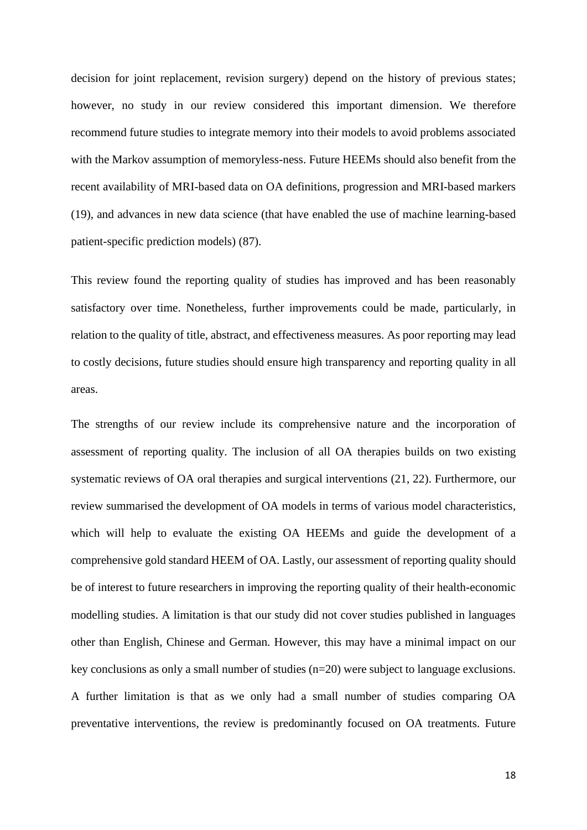decision for joint replacement, revision surgery) depend on the history of previous states; however, no study in our review considered this important dimension. We therefore recommend future studies to integrate memory into their models to avoid problems associated with the Markov assumption of memoryless-ness. Future HEEMs should also benefit from the recent availability of MRI-based data on OA definitions, progression and MRI-based markers (19), and advances in new data science (that have enabled the use of machine learning-based patient-specific prediction models) (87).

This review found the reporting quality of studies has improved and has been reasonably satisfactory over time. Nonetheless, further improvements could be made, particularly, in relation to the quality of title, abstract, and effectiveness measures. As poor reporting may lead to costly decisions, future studies should ensure high transparency and reporting quality in all areas.

The strengths of our review include its comprehensive nature and the incorporation of assessment of reporting quality. The inclusion of all OA therapies builds on two existing systematic reviews of OA oral therapies and surgical interventions (21, 22). Furthermore, our review summarised the development of OA models in terms of various model characteristics, which will help to evaluate the existing OA HEEMs and guide the development of a comprehensive gold standard HEEM of OA. Lastly, our assessment of reporting quality should be of interest to future researchers in improving the reporting quality of their health-economic modelling studies. A limitation is that our study did not cover studies published in languages other than English, Chinese and German. However, this may have a minimal impact on our key conclusions as only a small number of studies (n=20) were subject to language exclusions. A further limitation is that as we only had a small number of studies comparing OA preventative interventions, the review is predominantly focused on OA treatments. Future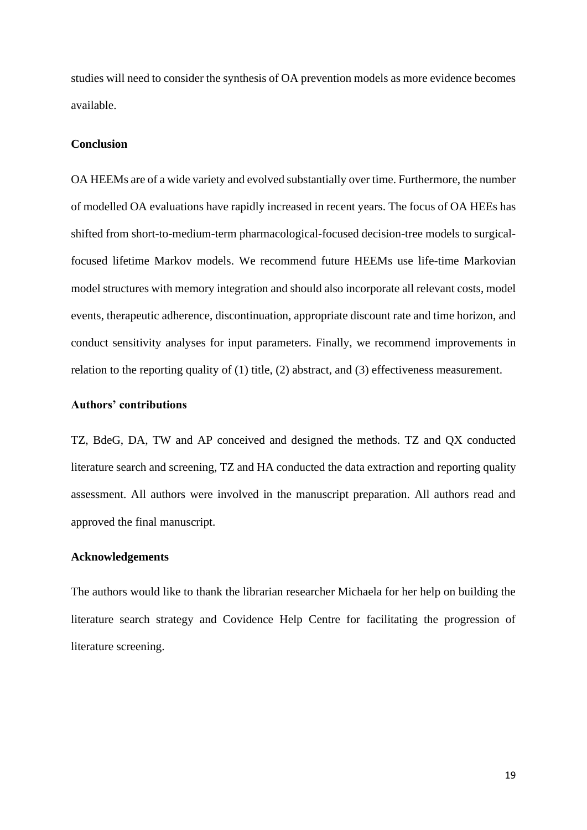studies will need to consider the synthesis of OA prevention models as more evidence becomes available.

#### **Conclusion**

OA HEEMs are of a wide variety and evolved substantially over time. Furthermore, the number of modelled OA evaluations have rapidly increased in recent years. The focus of OA HEEs has shifted from short-to-medium-term pharmacological-focused decision-tree models to surgicalfocused lifetime Markov models. We recommend future HEEMs use life-time Markovian model structures with memory integration and should also incorporate all relevant costs, model events, therapeutic adherence, discontinuation, appropriate discount rate and time horizon, and conduct sensitivity analyses for input parameters. Finally, we recommend improvements in relation to the reporting quality of (1) title, (2) abstract, and (3) effectiveness measurement.

# **Authors' contributions**

TZ, BdeG, DA, TW and AP conceived and designed the methods. TZ and QX conducted literature search and screening, TZ and HA conducted the data extraction and reporting quality assessment. All authors were involved in the manuscript preparation. All authors read and approved the final manuscript.

# **Acknowledgements**

The authors would like to thank the librarian researcher Michaela for her help on building the literature search strategy and Covidence Help Centre for facilitating the progression of literature screening.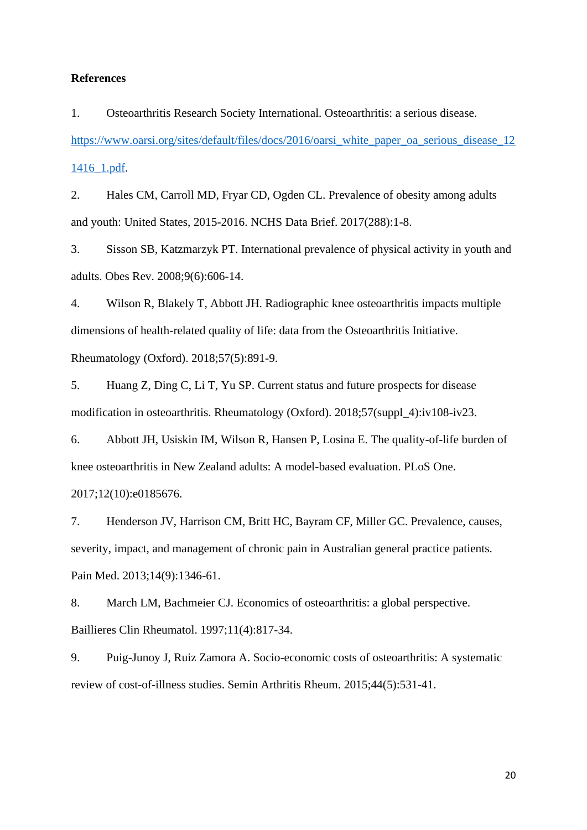#### **References**

1. Osteoarthritis Research Society International. Osteoarthritis: a serious disease. [https://www.oarsi.org/sites/default/files/docs/2016/oarsi\\_white\\_paper\\_oa\\_serious\\_disease\\_12](https://www.oarsi.org/sites/default/files/docs/2016/oarsi_white_paper_oa_serious_disease_121416_1.pdf) [1416\\_1.pdf.](https://www.oarsi.org/sites/default/files/docs/2016/oarsi_white_paper_oa_serious_disease_121416_1.pdf)

2. Hales CM, Carroll MD, Fryar CD, Ogden CL. Prevalence of obesity among adults and youth: United States, 2015-2016. NCHS Data Brief. 2017(288):1-8.

3. Sisson SB, Katzmarzyk PT. International prevalence of physical activity in youth and adults. Obes Rev. 2008;9(6):606-14.

4. Wilson R, Blakely T, Abbott JH. Radiographic knee osteoarthritis impacts multiple dimensions of health-related quality of life: data from the Osteoarthritis Initiative. Rheumatology (Oxford). 2018;57(5):891-9.

5. Huang Z, Ding C, Li T, Yu SP. Current status and future prospects for disease modification in osteoarthritis. Rheumatology (Oxford). 2018;57(suppl\_4):iv108-iv23.

6. Abbott JH, Usiskin IM, Wilson R, Hansen P, Losina E. The quality-of-life burden of knee osteoarthritis in New Zealand adults: A model-based evaluation. PLoS One. 2017;12(10):e0185676.

7. Henderson JV, Harrison CM, Britt HC, Bayram CF, Miller GC. Prevalence, causes, severity, impact, and management of chronic pain in Australian general practice patients. Pain Med. 2013;14(9):1346-61.

8. March LM, Bachmeier CJ. Economics of osteoarthritis: a global perspective. Baillieres Clin Rheumatol. 1997;11(4):817-34.

9. Puig-Junoy J, Ruiz Zamora A. Socio-economic costs of osteoarthritis: A systematic review of cost-of-illness studies. Semin Arthritis Rheum. 2015;44(5):531-41.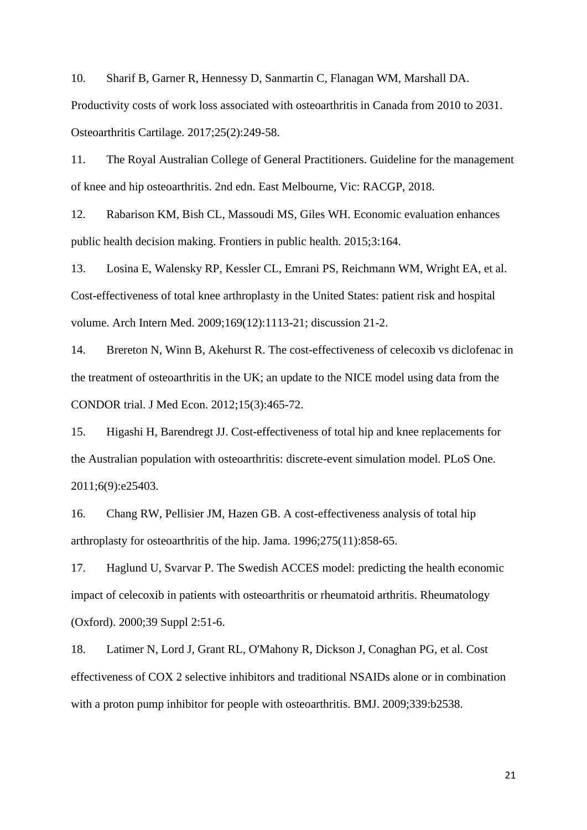10. Sharif B, Garner R, Hennessy D, Sanmartin C, Flanagan WM, Marshall DA.

Productivity costs of work loss associated with osteoarthritis in Canada from 2010 to 2031. Osteoarthritis Cartilage. 2017;25(2):249-58.

11. The Royal Australian College of General Practitioners. Guideline for the management of knee and hip osteoarthritis. 2nd edn. East Melbourne, Vic: RACGP, 2018.

12. Rabarison KM, Bish CL, Massoudi MS, Giles WH. Economic evaluation enhances public health decision making. Frontiers in public health. 2015;3:164.

13. Losina E, Walensky RP, Kessler CL, Emrani PS, Reichmann WM, Wright EA, et al. Cost-effectiveness of total knee arthroplasty in the United States: patient risk and hospital volume. Arch Intern Med. 2009;169(12):1113-21; discussion 21-2.

14. Brereton N, Winn B, Akehurst R. The cost-effectiveness of celecoxib vs diclofenac in the treatment of osteoarthritis in the UK; an update to the NICE model using data from the CONDOR trial. J Med Econ. 2012;15(3):465-72.

15. Higashi H, Barendregt JJ. Cost-effectiveness of total hip and knee replacements for the Australian population with osteoarthritis: discrete-event simulation model. PLoS One. 2011;6(9):e25403.

16. Chang RW, Pellisier JM, Hazen GB. A cost-effectiveness analysis of total hip arthroplasty for osteoarthritis of the hip. Jama. 1996;275(11):858-65.

17. Haglund U, Svarvar P. The Swedish ACCES model: predicting the health economic impact of celecoxib in patients with osteoarthritis or rheumatoid arthritis. Rheumatology (Oxford). 2000;39 Suppl 2:51-6.

18. Latimer N, Lord J, Grant RL, O'Mahony R, Dickson J, Conaghan PG, et al. Cost effectiveness of COX 2 selective inhibitors and traditional NSAIDs alone or in combination with a proton pump inhibitor for people with osteoarthritis. BMJ. 2009;339:b2538.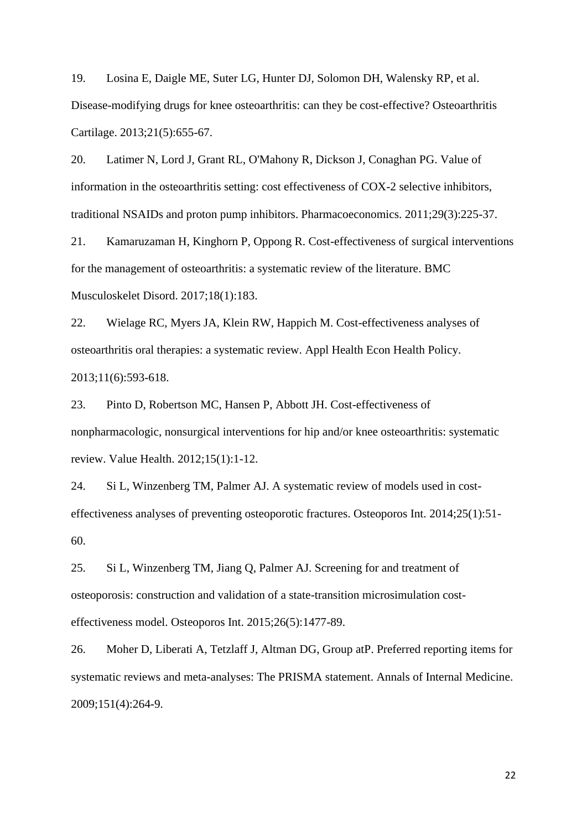19. Losina E, Daigle ME, Suter LG, Hunter DJ, Solomon DH, Walensky RP, et al. Disease-modifying drugs for knee osteoarthritis: can they be cost-effective? Osteoarthritis Cartilage. 2013;21(5):655-67.

20. Latimer N, Lord J, Grant RL, O'Mahony R, Dickson J, Conaghan PG. Value of information in the osteoarthritis setting: cost effectiveness of COX-2 selective inhibitors, traditional NSAIDs and proton pump inhibitors. Pharmacoeconomics. 2011;29(3):225-37.

21. Kamaruzaman H, Kinghorn P, Oppong R. Cost-effectiveness of surgical interventions for the management of osteoarthritis: a systematic review of the literature. BMC Musculoskelet Disord. 2017;18(1):183.

22. Wielage RC, Myers JA, Klein RW, Happich M. Cost-effectiveness analyses of osteoarthritis oral therapies: a systematic review. Appl Health Econ Health Policy. 2013;11(6):593-618.

23. Pinto D, Robertson MC, Hansen P, Abbott JH. Cost-effectiveness of nonpharmacologic, nonsurgical interventions for hip and/or knee osteoarthritis: systematic review. Value Health. 2012;15(1):1-12.

24. Si L, Winzenberg TM, Palmer AJ. A systematic review of models used in costeffectiveness analyses of preventing osteoporotic fractures. Osteoporos Int. 2014;25(1):51- 60.

25. Si L, Winzenberg TM, Jiang Q, Palmer AJ. Screening for and treatment of osteoporosis: construction and validation of a state-transition microsimulation costeffectiveness model. Osteoporos Int. 2015;26(5):1477-89.

26. Moher D, Liberati A, Tetzlaff J, Altman DG, Group atP. Preferred reporting items for systematic reviews and meta-analyses: The PRISMA statement. Annals of Internal Medicine. 2009;151(4):264-9.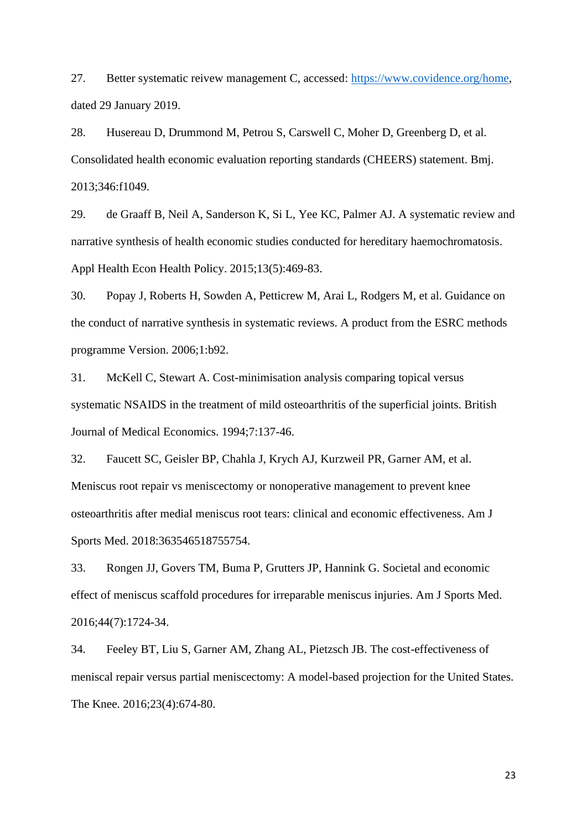27. Better systematic reivew management C, accessed: [https://www.covidence.org/home,](https://www.covidence.org/home) dated 29 January 2019.

28. Husereau D, Drummond M, Petrou S, Carswell C, Moher D, Greenberg D, et al. Consolidated health economic evaluation reporting standards (CHEERS) statement. Bmj. 2013;346:f1049.

29. de Graaff B, Neil A, Sanderson K, Si L, Yee KC, Palmer AJ. A systematic review and narrative synthesis of health economic studies conducted for hereditary haemochromatosis. Appl Health Econ Health Policy. 2015;13(5):469-83.

30. Popay J, Roberts H, Sowden A, Petticrew M, Arai L, Rodgers M, et al. Guidance on the conduct of narrative synthesis in systematic reviews. A product from the ESRC methods programme Version. 2006;1:b92.

31. McKell C, Stewart A. Cost-minimisation analysis comparing topical versus systematic NSAIDS in the treatment of mild osteoarthritis of the superficial joints. British Journal of Medical Economics. 1994;7:137-46.

32. Faucett SC, Geisler BP, Chahla J, Krych AJ, Kurzweil PR, Garner AM, et al. Meniscus root repair vs meniscectomy or nonoperative management to prevent knee osteoarthritis after medial meniscus root tears: clinical and economic effectiveness. Am J Sports Med. 2018:363546518755754.

33. Rongen JJ, Govers TM, Buma P, Grutters JP, Hannink G. Societal and economic effect of meniscus scaffold procedures for irreparable meniscus injuries. Am J Sports Med. 2016;44(7):1724-34.

34. Feeley BT, Liu S, Garner AM, Zhang AL, Pietzsch JB. The cost-effectiveness of meniscal repair versus partial meniscectomy: A model-based projection for the United States. The Knee. 2016;23(4):674-80.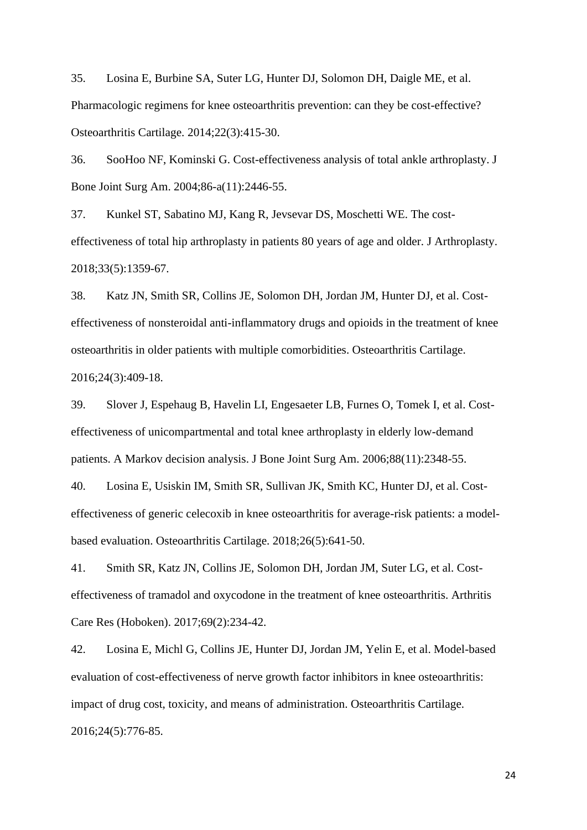35. Losina E, Burbine SA, Suter LG, Hunter DJ, Solomon DH, Daigle ME, et al. Pharmacologic regimens for knee osteoarthritis prevention: can they be cost-effective? Osteoarthritis Cartilage. 2014;22(3):415-30.

36. SooHoo NF, Kominski G. Cost-effectiveness analysis of total ankle arthroplasty. J Bone Joint Surg Am. 2004;86-a(11):2446-55.

37. Kunkel ST, Sabatino MJ, Kang R, Jevsevar DS, Moschetti WE. The costeffectiveness of total hip arthroplasty in patients 80 years of age and older. J Arthroplasty. 2018;33(5):1359-67.

38. Katz JN, Smith SR, Collins JE, Solomon DH, Jordan JM, Hunter DJ, et al. Costeffectiveness of nonsteroidal anti-inflammatory drugs and opioids in the treatment of knee osteoarthritis in older patients with multiple comorbidities. Osteoarthritis Cartilage. 2016;24(3):409-18.

39. Slover J, Espehaug B, Havelin LI, Engesaeter LB, Furnes O, Tomek I, et al. Costeffectiveness of unicompartmental and total knee arthroplasty in elderly low-demand patients. A Markov decision analysis. J Bone Joint Surg Am. 2006;88(11):2348-55.

40. Losina E, Usiskin IM, Smith SR, Sullivan JK, Smith KC, Hunter DJ, et al. Costeffectiveness of generic celecoxib in knee osteoarthritis for average-risk patients: a modelbased evaluation. Osteoarthritis Cartilage. 2018;26(5):641-50.

41. Smith SR, Katz JN, Collins JE, Solomon DH, Jordan JM, Suter LG, et al. Costeffectiveness of tramadol and oxycodone in the treatment of knee osteoarthritis. Arthritis Care Res (Hoboken). 2017;69(2):234-42.

42. Losina E, Michl G, Collins JE, Hunter DJ, Jordan JM, Yelin E, et al. Model-based evaluation of cost-effectiveness of nerve growth factor inhibitors in knee osteoarthritis: impact of drug cost, toxicity, and means of administration. Osteoarthritis Cartilage. 2016;24(5):776-85.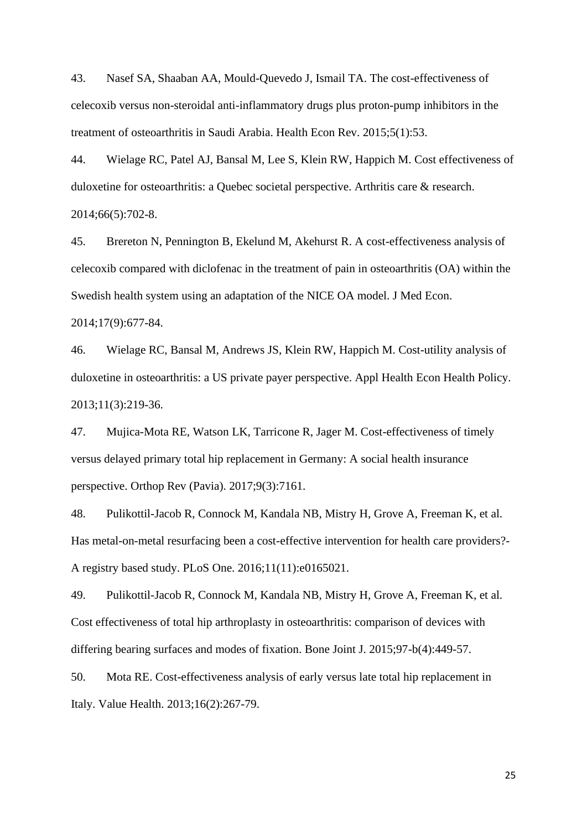43. Nasef SA, Shaaban AA, Mould-Quevedo J, Ismail TA. The cost-effectiveness of celecoxib versus non-steroidal anti-inflammatory drugs plus proton-pump inhibitors in the treatment of osteoarthritis in Saudi Arabia. Health Econ Rev. 2015;5(1):53.

44. Wielage RC, Patel AJ, Bansal M, Lee S, Klein RW, Happich M. Cost effectiveness of duloxetine for osteoarthritis: a Quebec societal perspective. Arthritis care & research. 2014;66(5):702-8.

45. Brereton N, Pennington B, Ekelund M, Akehurst R. A cost-effectiveness analysis of celecoxib compared with diclofenac in the treatment of pain in osteoarthritis (OA) within the Swedish health system using an adaptation of the NICE OA model. J Med Econ. 2014;17(9):677-84.

46. Wielage RC, Bansal M, Andrews JS, Klein RW, Happich M. Cost-utility analysis of duloxetine in osteoarthritis: a US private payer perspective. Appl Health Econ Health Policy. 2013;11(3):219-36.

47. Mujica-Mota RE, Watson LK, Tarricone R, Jager M. Cost-effectiveness of timely versus delayed primary total hip replacement in Germany: A social health insurance perspective. Orthop Rev (Pavia). 2017;9(3):7161.

48. Pulikottil-Jacob R, Connock M, Kandala NB, Mistry H, Grove A, Freeman K, et al. Has metal-on-metal resurfacing been a cost-effective intervention for health care providers?- A registry based study. PLoS One. 2016;11(11):e0165021.

49. Pulikottil-Jacob R, Connock M, Kandala NB, Mistry H, Grove A, Freeman K, et al. Cost effectiveness of total hip arthroplasty in osteoarthritis: comparison of devices with differing bearing surfaces and modes of fixation. Bone Joint J. 2015;97-b(4):449-57.

50. Mota RE. Cost-effectiveness analysis of early versus late total hip replacement in Italy. Value Health. 2013;16(2):267-79.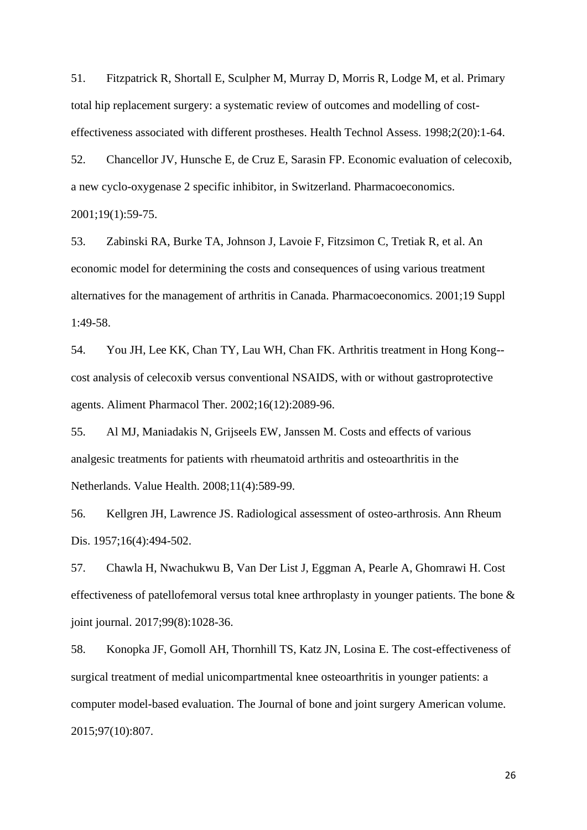51. Fitzpatrick R, Shortall E, Sculpher M, Murray D, Morris R, Lodge M, et al. Primary total hip replacement surgery: a systematic review of outcomes and modelling of costeffectiveness associated with different prostheses. Health Technol Assess. 1998;2(20):1-64.

52. Chancellor JV, Hunsche E, de Cruz E, Sarasin FP. Economic evaluation of celecoxib, a new cyclo-oxygenase 2 specific inhibitor, in Switzerland. Pharmacoeconomics. 2001;19(1):59-75.

53. Zabinski RA, Burke TA, Johnson J, Lavoie F, Fitzsimon C, Tretiak R, et al. An economic model for determining the costs and consequences of using various treatment alternatives for the management of arthritis in Canada. Pharmacoeconomics. 2001;19 Suppl 1:49-58.

54. You JH, Lee KK, Chan TY, Lau WH, Chan FK. Arthritis treatment in Hong Kong- cost analysis of celecoxib versus conventional NSAIDS, with or without gastroprotective agents. Aliment Pharmacol Ther. 2002;16(12):2089-96.

55. Al MJ, Maniadakis N, Grijseels EW, Janssen M. Costs and effects of various analgesic treatments for patients with rheumatoid arthritis and osteoarthritis in the Netherlands. Value Health. 2008;11(4):589-99.

56. Kellgren JH, Lawrence JS. Radiological assessment of osteo-arthrosis. Ann Rheum Dis. 1957;16(4):494-502.

57. Chawla H, Nwachukwu B, Van Der List J, Eggman A, Pearle A, Ghomrawi H. Cost effectiveness of patellofemoral versus total knee arthroplasty in younger patients. The bone & joint journal. 2017;99(8):1028-36.

58. Konopka JF, Gomoll AH, Thornhill TS, Katz JN, Losina E. The cost-effectiveness of surgical treatment of medial unicompartmental knee osteoarthritis in younger patients: a computer model-based evaluation. The Journal of bone and joint surgery American volume. 2015;97(10):807.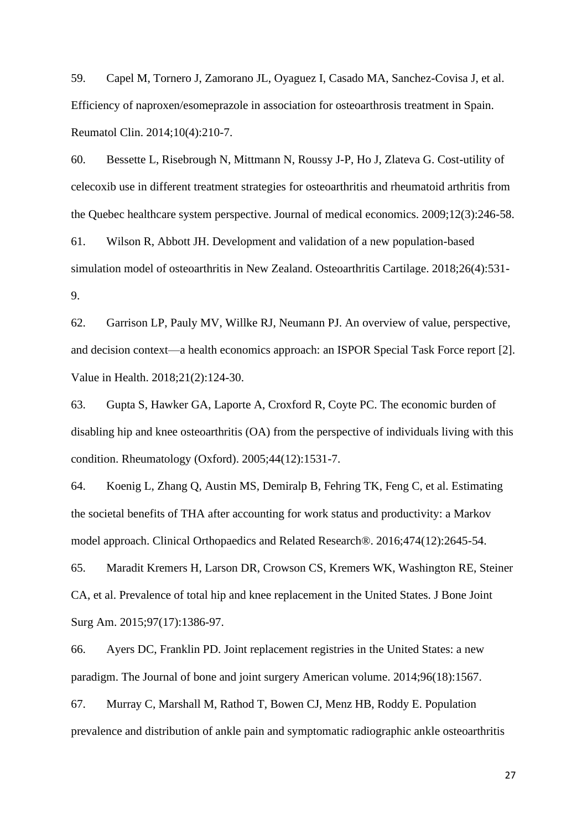59. Capel M, Tornero J, Zamorano JL, Oyaguez I, Casado MA, Sanchez-Covisa J, et al. Efficiency of naproxen/esomeprazole in association for osteoarthrosis treatment in Spain. Reumatol Clin. 2014;10(4):210-7.

60. Bessette L, Risebrough N, Mittmann N, Roussy J-P, Ho J, Zlateva G. Cost-utility of celecoxib use in different treatment strategies for osteoarthritis and rheumatoid arthritis from the Quebec healthcare system perspective. Journal of medical economics. 2009;12(3):246-58.

61. Wilson R, Abbott JH. Development and validation of a new population-based simulation model of osteoarthritis in New Zealand. Osteoarthritis Cartilage. 2018;26(4):531- 9.

62. Garrison LP, Pauly MV, Willke RJ, Neumann PJ. An overview of value, perspective, and decision context—a health economics approach: an ISPOR Special Task Force report [2]. Value in Health. 2018;21(2):124-30.

63. Gupta S, Hawker GA, Laporte A, Croxford R, Coyte PC. The economic burden of disabling hip and knee osteoarthritis (OA) from the perspective of individuals living with this condition. Rheumatology (Oxford). 2005;44(12):1531-7.

64. Koenig L, Zhang Q, Austin MS, Demiralp B, Fehring TK, Feng C, et al. Estimating the societal benefits of THA after accounting for work status and productivity: a Markov model approach. Clinical Orthopaedics and Related Research®. 2016;474(12):2645-54.

65. Maradit Kremers H, Larson DR, Crowson CS, Kremers WK, Washington RE, Steiner CA, et al. Prevalence of total hip and knee replacement in the United States. J Bone Joint Surg Am. 2015;97(17):1386-97.

66. Ayers DC, Franklin PD. Joint replacement registries in the United States: a new paradigm. The Journal of bone and joint surgery American volume. 2014;96(18):1567.

67. Murray C, Marshall M, Rathod T, Bowen CJ, Menz HB, Roddy E. Population prevalence and distribution of ankle pain and symptomatic radiographic ankle osteoarthritis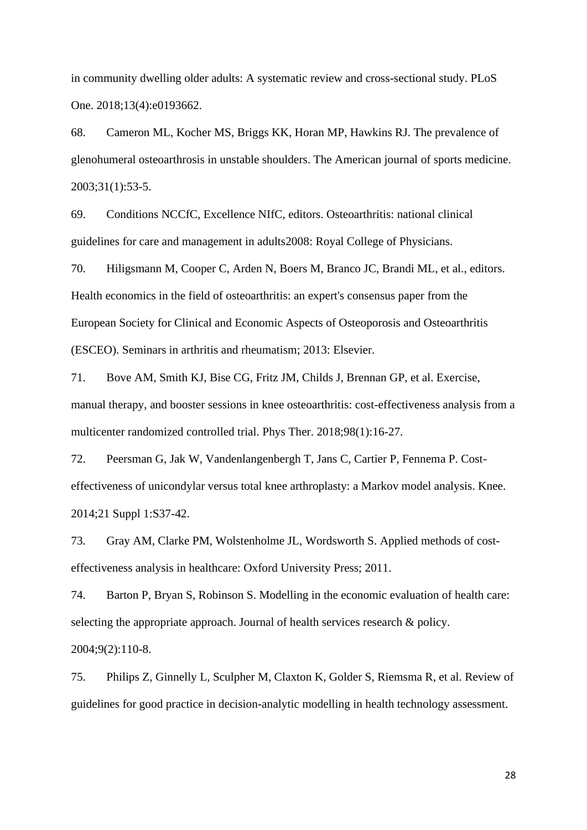in community dwelling older adults: A systematic review and cross-sectional study. PLoS One. 2018;13(4):e0193662.

68. Cameron ML, Kocher MS, Briggs KK, Horan MP, Hawkins RJ. The prevalence of glenohumeral osteoarthrosis in unstable shoulders. The American journal of sports medicine. 2003;31(1):53-5.

69. Conditions NCCfC, Excellence NIfC, editors. Osteoarthritis: national clinical guidelines for care and management in adults2008: Royal College of Physicians.

70. Hiligsmann M, Cooper C, Arden N, Boers M, Branco JC, Brandi ML, et al., editors. Health economics in the field of osteoarthritis: an expert's consensus paper from the European Society for Clinical and Economic Aspects of Osteoporosis and Osteoarthritis (ESCEO). Seminars in arthritis and rheumatism; 2013: Elsevier.

71. Bove AM, Smith KJ, Bise CG, Fritz JM, Childs J, Brennan GP, et al. Exercise, manual therapy, and booster sessions in knee osteoarthritis: cost-effectiveness analysis from a multicenter randomized controlled trial. Phys Ther. 2018;98(1):16-27.

72. Peersman G, Jak W, Vandenlangenbergh T, Jans C, Cartier P, Fennema P. Costeffectiveness of unicondylar versus total knee arthroplasty: a Markov model analysis. Knee. 2014;21 Suppl 1:S37-42.

73. Gray AM, Clarke PM, Wolstenholme JL, Wordsworth S. Applied methods of costeffectiveness analysis in healthcare: Oxford University Press; 2011.

74. Barton P, Bryan S, Robinson S. Modelling in the economic evaluation of health care: selecting the appropriate approach. Journal of health services research & policy.

2004;9(2):110-8.

75. Philips Z, Ginnelly L, Sculpher M, Claxton K, Golder S, Riemsma R, et al. Review of guidelines for good practice in decision-analytic modelling in health technology assessment.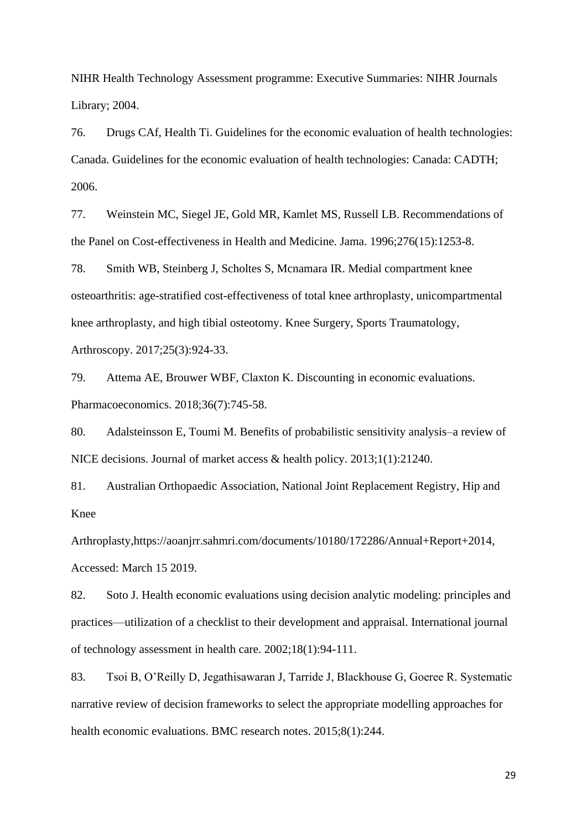NIHR Health Technology Assessment programme: Executive Summaries: NIHR Journals Library; 2004.

76. Drugs CAf, Health Ti. Guidelines for the economic evaluation of health technologies: Canada. Guidelines for the economic evaluation of health technologies: Canada: CADTH; 2006.

77. Weinstein MC, Siegel JE, Gold MR, Kamlet MS, Russell LB. Recommendations of the Panel on Cost-effectiveness in Health and Medicine. Jama. 1996;276(15):1253-8.

78. Smith WB, Steinberg J, Scholtes S, Mcnamara IR. Medial compartment knee osteoarthritis: age-stratified cost-effectiveness of total knee arthroplasty, unicompartmental knee arthroplasty, and high tibial osteotomy. Knee Surgery, Sports Traumatology, Arthroscopy. 2017;25(3):924-33.

79. Attema AE, Brouwer WBF, Claxton K. Discounting in economic evaluations. Pharmacoeconomics. 2018;36(7):745-58.

80. Adalsteinsson E, Toumi M. Benefits of probabilistic sensitivity analysis–a review of NICE decisions. Journal of market access & health policy. 2013;1(1):21240.

81. Australian Orthopaedic Association, National Joint Replacement Registry, Hip and Knee

Arthroplasty,https://aoanjrr.sahmri.com/documents/10180/172286/Annual+Report+2014, Accessed: March 15 2019.

82. Soto J. Health economic evaluations using decision analytic modeling: principles and practices—utilization of a checklist to their development and appraisal. International journal of technology assessment in health care. 2002;18(1):94-111.

83. Tsoi B, O'Reilly D, Jegathisawaran J, Tarride J, Blackhouse G, Goeree R. Systematic narrative review of decision frameworks to select the appropriate modelling approaches for health economic evaluations. BMC research notes. 2015;8(1):244.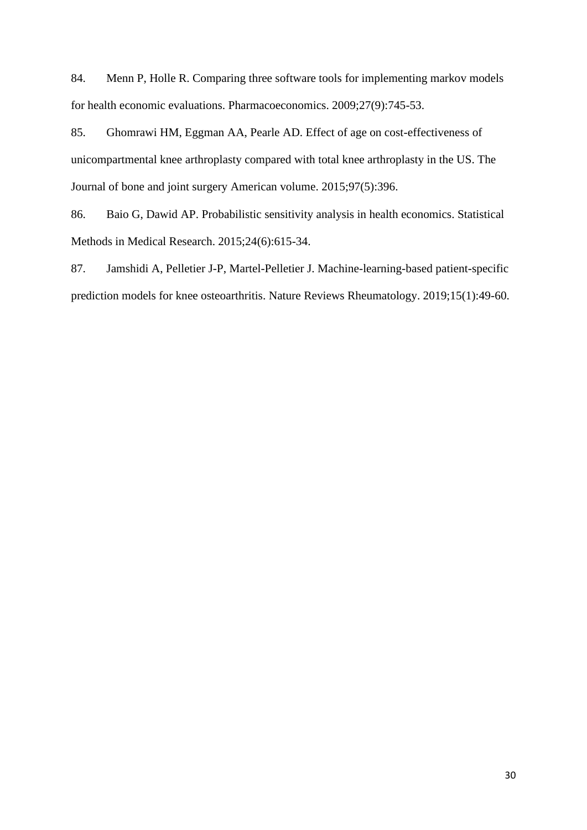84. Menn P, Holle R. Comparing three software tools for implementing markov models for health economic evaluations. Pharmacoeconomics. 2009;27(9):745-53.

85. Ghomrawi HM, Eggman AA, Pearle AD. Effect of age on cost-effectiveness of unicompartmental knee arthroplasty compared with total knee arthroplasty in the US. The Journal of bone and joint surgery American volume. 2015;97(5):396.

86. Baio G, Dawid AP. Probabilistic sensitivity analysis in health economics. Statistical Methods in Medical Research. 2015;24(6):615-34.

87. Jamshidi A, Pelletier J-P, Martel-Pelletier J. Machine-learning-based patient-specific prediction models for knee osteoarthritis. Nature Reviews Rheumatology. 2019;15(1):49-60.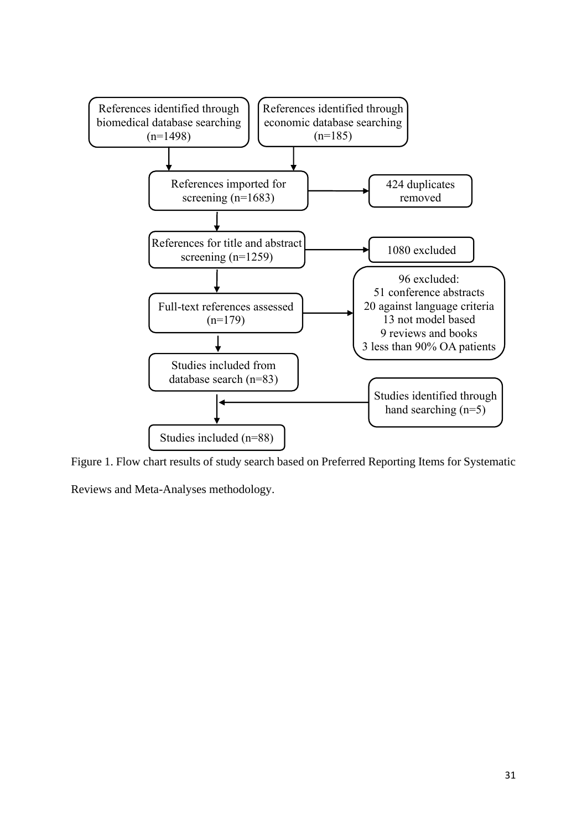

Figure 1. Flow chart results of study search based on Preferred Reporting Items for Systematic

Reviews and Meta-Analyses methodology.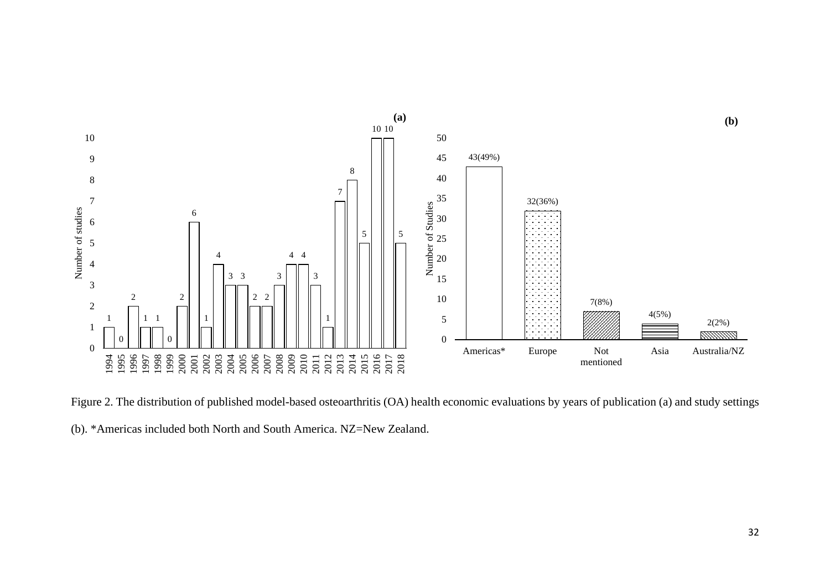

Figure 2. The distribution of published model-based osteoarthritis (OA) health economic evaluations by years of publication (a) and study settings

(b). \*Americas included both North and South America. NZ=New Zealand.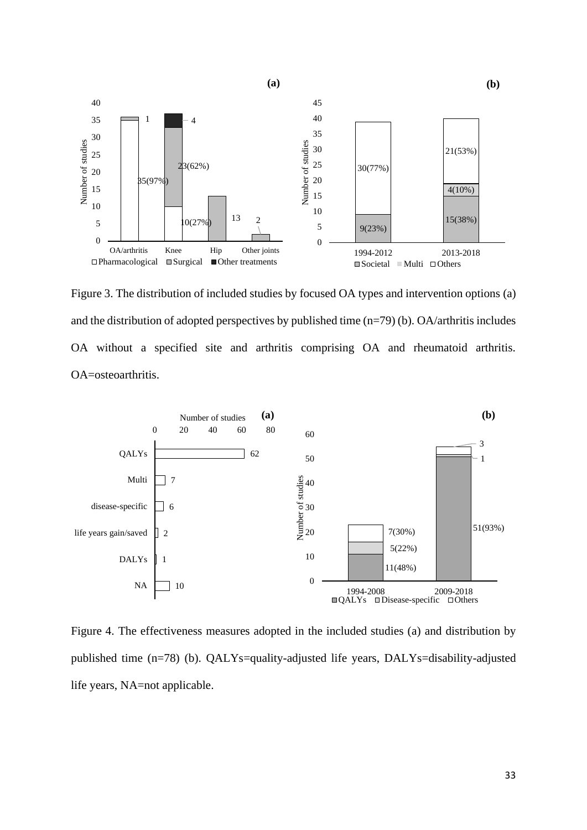

Figure 3. The distribution of included studies by focused OA types and intervention options (a) and the distribution of adopted perspectives by published time (n=79) (b). OA/arthritis includes OA without a specified site and arthritis comprising OA and rheumatoid arthritis. OA=osteoarthritis.



Figure 4. The effectiveness measures adopted in the included studies (a) and distribution by published time (n=78) (b). QALYs=quality-adjusted life years, DALYs=disability-adjusted life years, NA=not applicable.